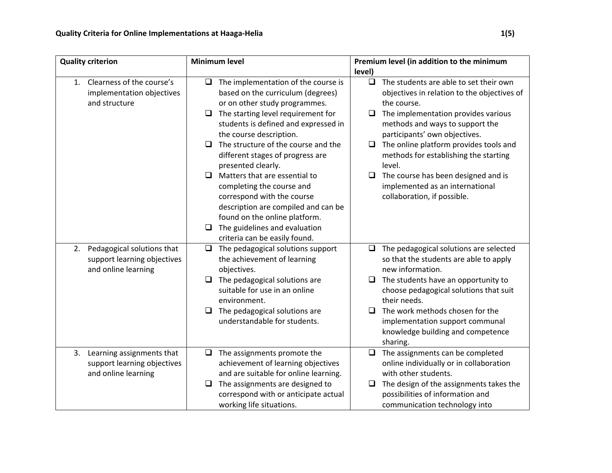| <b>Quality criterion</b>                                  | <b>Minimum level</b>                                                           | Premium level (in addition to the minimum                                                       |
|-----------------------------------------------------------|--------------------------------------------------------------------------------|-------------------------------------------------------------------------------------------------|
|                                                           |                                                                                | level)                                                                                          |
| 1. Clearness of the course's<br>implementation objectives | The implementation of the course is<br>O.<br>based on the curriculum (degrees) | The students are able to set their own<br>$\Box$<br>objectives in relation to the objectives of |
| and structure                                             | or on other study programmes.                                                  | the course.                                                                                     |
|                                                           |                                                                                |                                                                                                 |
|                                                           | The starting level requirement for<br>□                                        | The implementation provides various<br>□<br>methods and ways to support the                     |
|                                                           | students is defined and expressed in<br>the course description.                |                                                                                                 |
|                                                           | The structure of the course and the<br>□                                       | participants' own objectives.                                                                   |
|                                                           | different stages of progress are                                               | $\Box$ The online platform provides tools and<br>methods for establishing the starting          |
|                                                           | presented clearly.                                                             | level.                                                                                          |
|                                                           | Matters that are essential to<br>$\Box$                                        | $\Box$<br>The course has been designed and is                                                   |
|                                                           | completing the course and                                                      | implemented as an international                                                                 |
|                                                           | correspond with the course                                                     | collaboration, if possible.                                                                     |
|                                                           | description are compiled and can be                                            |                                                                                                 |
|                                                           | found on the online platform.                                                  |                                                                                                 |
|                                                           | The guidelines and evaluation<br>□                                             |                                                                                                 |
|                                                           | criteria can be easily found.                                                  |                                                                                                 |
| Pedagogical solutions that<br>2.                          | The pedagogical solutions support<br>$\Box$                                    | The pedagogical solutions are selected<br>$\Box$                                                |
| support learning objectives                               | the achievement of learning                                                    | so that the students are able to apply                                                          |
| and online learning                                       | objectives.                                                                    | new information.                                                                                |
|                                                           | The pedagogical solutions are<br>□                                             | The students have an opportunity to<br>$\Box$                                                   |
|                                                           | suitable for use in an online                                                  | choose pedagogical solutions that suit                                                          |
|                                                           | environment.                                                                   | their needs.                                                                                    |
|                                                           | The pedagogical solutions are<br>$\Box$                                        | The work methods chosen for the<br>$\Box$                                                       |
|                                                           | understandable for students.                                                   | implementation support communal                                                                 |
|                                                           |                                                                                | knowledge building and competence                                                               |
|                                                           |                                                                                | sharing.                                                                                        |
| 3. Learning assignments that                              | The assignments promote the<br>❏                                               | The assignments can be completed<br>$\Box$                                                      |
| support learning objectives                               | achievement of learning objectives                                             | online individually or in collaboration                                                         |
| and online learning                                       | and are suitable for online learning.                                          | with other students.                                                                            |
|                                                           | The assignments are designed to<br>□                                           | The design of the assignments takes the<br>□                                                    |
|                                                           | correspond with or anticipate actual                                           | possibilities of information and                                                                |
|                                                           | working life situations.                                                       | communication technology into                                                                   |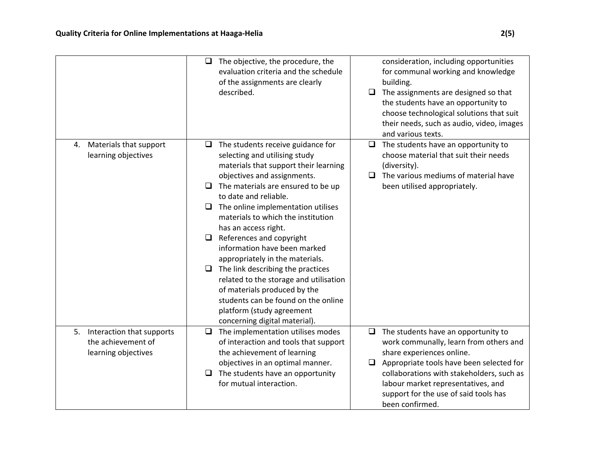|                                                                           | The objective, the procedure, the<br>u<br>evaluation criteria and the schedule<br>of the assignments are clearly<br>described.                                                                                                                                                                                                                                                                                                                                                                                                                                                                                                                            | consideration, including opportunities<br>for communal working and knowledge<br>building.<br>The assignments are designed so that<br>$\Box$<br>the students have an opportunity to<br>choose technological solutions that suit<br>their needs, such as audio, video, images<br>and various texts.                         |
|---------------------------------------------------------------------------|-----------------------------------------------------------------------------------------------------------------------------------------------------------------------------------------------------------------------------------------------------------------------------------------------------------------------------------------------------------------------------------------------------------------------------------------------------------------------------------------------------------------------------------------------------------------------------------------------------------------------------------------------------------|---------------------------------------------------------------------------------------------------------------------------------------------------------------------------------------------------------------------------------------------------------------------------------------------------------------------------|
| 4. Materials that support<br>learning objectives                          | The students receive guidance for<br>□<br>selecting and utilising study<br>materials that support their learning<br>objectives and assignments.<br>The materials are ensured to be up<br>□<br>to date and reliable.<br>The online implementation utilises<br>O<br>materials to which the institution<br>has an access right.<br>References and copyright<br>□<br>information have been marked<br>appropriately in the materials.<br>The link describing the practices<br>O<br>related to the storage and utilisation<br>of materials produced by the<br>students can be found on the online<br>platform (study agreement<br>concerning digital material). | The students have an opportunity to<br>$\Box$<br>choose material that suit their needs<br>(diversity).<br>The various mediums of material have<br>$\Box$<br>been utilised appropriately.                                                                                                                                  |
| 5. Interaction that supports<br>the achievement of<br>learning objectives | The implementation utilises modes<br>□<br>of interaction and tools that support<br>the achievement of learning<br>objectives in an optimal manner.<br>The students have an opportunity<br>□<br>for mutual interaction.                                                                                                                                                                                                                                                                                                                                                                                                                                    | The students have an opportunity to<br>$\Box$<br>work communally, learn from others and<br>share experiences online.<br>Appropriate tools have been selected for<br>$\Box$<br>collaborations with stakeholders, such as<br>labour market representatives, and<br>support for the use of said tools has<br>been confirmed. |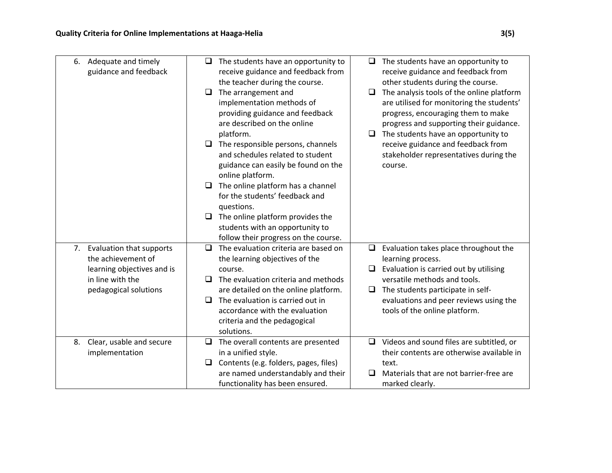|    | 6. Adequate and timely<br>guidance and feedback                                                                              | □<br>□<br>□<br>□<br>□ | The students have an opportunity to<br>receive guidance and feedback from<br>the teacher during the course.<br>The arrangement and<br>implementation methods of<br>providing guidance and feedback<br>are described on the online<br>platform.<br>The responsible persons, channels<br>and schedules related to student<br>guidance can easily be found on the<br>online platform.<br>The online platform has a channel<br>for the students' feedback and<br>questions.<br>The online platform provides the<br>students with an opportunity to<br>follow their progress on the course. | ⊔<br>□<br>□ | The students have an opportunity to<br>receive guidance and feedback from<br>other students during the course.<br>The analysis tools of the online platform<br>are utilised for monitoring the students'<br>progress, encouraging them to make<br>progress and supporting their guidance.<br>The students have an opportunity to<br>receive guidance and feedback from<br>stakeholder representatives during the<br>course. |
|----|------------------------------------------------------------------------------------------------------------------------------|-----------------------|----------------------------------------------------------------------------------------------------------------------------------------------------------------------------------------------------------------------------------------------------------------------------------------------------------------------------------------------------------------------------------------------------------------------------------------------------------------------------------------------------------------------------------------------------------------------------------------|-------------|-----------------------------------------------------------------------------------------------------------------------------------------------------------------------------------------------------------------------------------------------------------------------------------------------------------------------------------------------------------------------------------------------------------------------------|
|    | 7. Evaluation that supports<br>the achievement of<br>learning objectives and is<br>in line with the<br>pedagogical solutions | □<br>□<br>❏           | The evaluation criteria are based on<br>the learning objectives of the<br>course.<br>The evaluation criteria and methods<br>are detailed on the online platform.<br>The evaluation is carried out in<br>accordance with the evaluation<br>criteria and the pedagogical<br>solutions.                                                                                                                                                                                                                                                                                                   | □<br>⊔      | Evaluation takes place throughout the<br>learning process.<br>Evaluation is carried out by utilising<br>versatile methods and tools.<br>The students participate in self-<br>evaluations and peer reviews using the<br>tools of the online platform.                                                                                                                                                                        |
| 8. | Clear, usable and secure<br>implementation                                                                                   | □<br>❏                | The overall contents are presented<br>in a unified style.<br>Contents (e.g. folders, pages, files)<br>are named understandably and their<br>functionality has been ensured.                                                                                                                                                                                                                                                                                                                                                                                                            | O           | Videos and sound files are subtitled, or<br>their contents are otherwise available in<br>text.<br>Materials that are not barrier-free are<br>marked clearly.                                                                                                                                                                                                                                                                |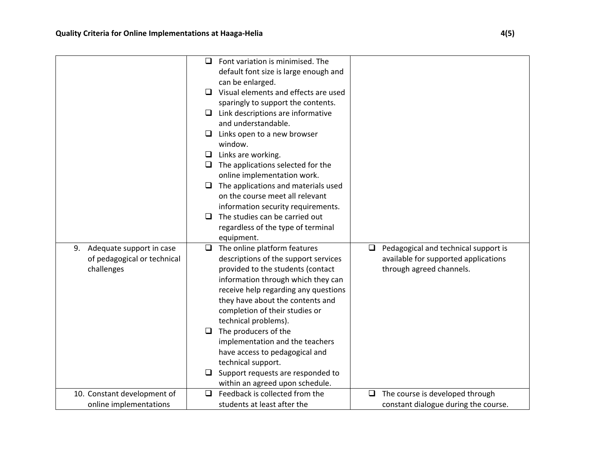|                             | ப      | Font variation is minimised. The      |        |                                      |
|-----------------------------|--------|---------------------------------------|--------|--------------------------------------|
|                             |        | default font size is large enough and |        |                                      |
|                             |        | can be enlarged.                      |        |                                      |
|                             | $\Box$ | Visual elements and effects are used  |        |                                      |
|                             |        | sparingly to support the contents.    |        |                                      |
|                             | $\Box$ | Link descriptions are informative     |        |                                      |
|                             |        | and understandable.                   |        |                                      |
|                             | ⊔.     | Links open to a new browser           |        |                                      |
|                             |        | window.                               |        |                                      |
|                             | O.     | Links are working.                    |        |                                      |
|                             | u.     | The applications selected for the     |        |                                      |
|                             |        | online implementation work.           |        |                                      |
|                             | $\Box$ | The applications and materials used   |        |                                      |
|                             |        | on the course meet all relevant       |        |                                      |
|                             |        | information security requirements.    |        |                                      |
|                             | □      | The studies can be carried out        |        |                                      |
|                             |        | regardless of the type of terminal    |        |                                      |
|                             |        | equipment.                            |        |                                      |
| 9. Adequate support in case | $\Box$ | The online platform features          | $\Box$ | Pedagogical and technical support is |
| of pedagogical or technical |        | descriptions of the support services  |        | available for supported applications |
| challenges                  |        | provided to the students (contact     |        | through agreed channels.             |
|                             |        | information through which they can    |        |                                      |
|                             |        | receive help regarding any questions  |        |                                      |
|                             |        | they have about the contents and      |        |                                      |
|                             |        | completion of their studies or        |        |                                      |
|                             |        | technical problems).                  |        |                                      |
|                             | ⊔      | The producers of the                  |        |                                      |
|                             |        | implementation and the teachers       |        |                                      |
|                             |        | have access to pedagogical and        |        |                                      |
|                             |        |                                       |        |                                      |
|                             |        | technical support.                    |        |                                      |
|                             |        | Support requests are responded to     |        |                                      |
|                             |        | within an agreed upon schedule.       |        |                                      |
| 10. Constant development of | $\Box$ | Feedback is collected from the        | □      | The course is developed through      |